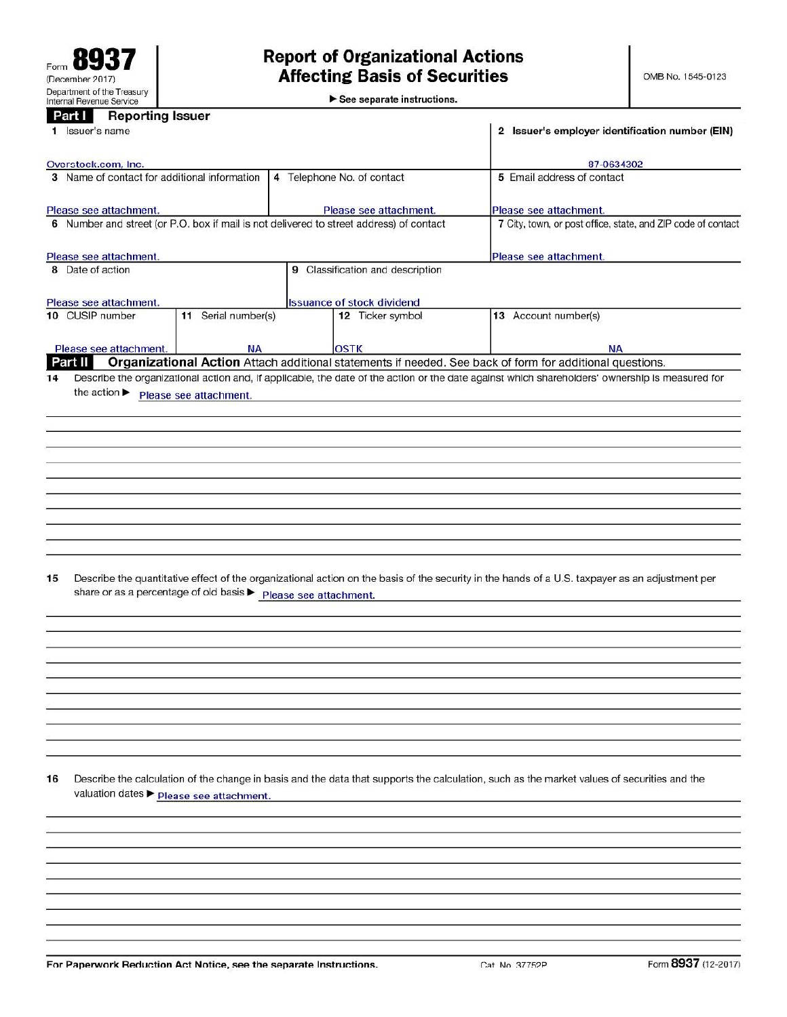$\blacktriangleright$  See separate instructions.

| Part I<br><b>Reporting Issuer</b><br>1 Issuer's name                                    |                                                              | 2 Issuer's employer identification number (EIN)                                                                                                 |
|-----------------------------------------------------------------------------------------|--------------------------------------------------------------|-------------------------------------------------------------------------------------------------------------------------------------------------|
| Overstock.com, Inc.                                                                     |                                                              | 87-0634302                                                                                                                                      |
| 3 Name of contact for additional information                                            | 5 Email address of contact                                   |                                                                                                                                                 |
|                                                                                         |                                                              |                                                                                                                                                 |
| Please see attachment.                                                                  | Please see attachment.                                       | Please see attachment.                                                                                                                          |
| 6 Number and street (or P.O. box if mail is not delivered to street address) of contact | 7 City, town, or post office, state, and ZIP code of contact |                                                                                                                                                 |
| Please see attachment.                                                                  |                                                              | Please see attachment.                                                                                                                          |
| 8 Date of action                                                                        | 9 Classification and description                             |                                                                                                                                                 |
|                                                                                         |                                                              |                                                                                                                                                 |
| Please see attachment.                                                                  | <b>Issuance of stock dividend</b>                            |                                                                                                                                                 |
| 10 CUSIP number<br>11 Serial number(s)                                                  | 12 Ticker symbol                                             | 13 Account number(s)                                                                                                                            |
| Please see attachment.<br><b>NA</b>                                                     | <b>OSTK</b>                                                  | ΝA                                                                                                                                              |
| Part II                                                                                 |                                                              | Organizational Action Attach additional statements if needed. See back of form for additional questions.                                        |
| 15<br>share or as a percentage of old basis ▶ Please see attachment.                    |                                                              | Describe the quantitative effect of the organizational action on the basis of the security in the hands of a U.S. taxpayer as an adjustment per |
| 16<br>valuation dates > Please see attachment.                                          |                                                              | Describe the calculation of the change in basis and the data that supports the calculation, such as the market values of securities and the     |
|                                                                                         |                                                              |                                                                                                                                                 |
|                                                                                         |                                                              |                                                                                                                                                 |
|                                                                                         |                                                              |                                                                                                                                                 |
|                                                                                         |                                                              |                                                                                                                                                 |
|                                                                                         |                                                              |                                                                                                                                                 |

For Paperwork Reduction Act Notice, see the separate Instructions.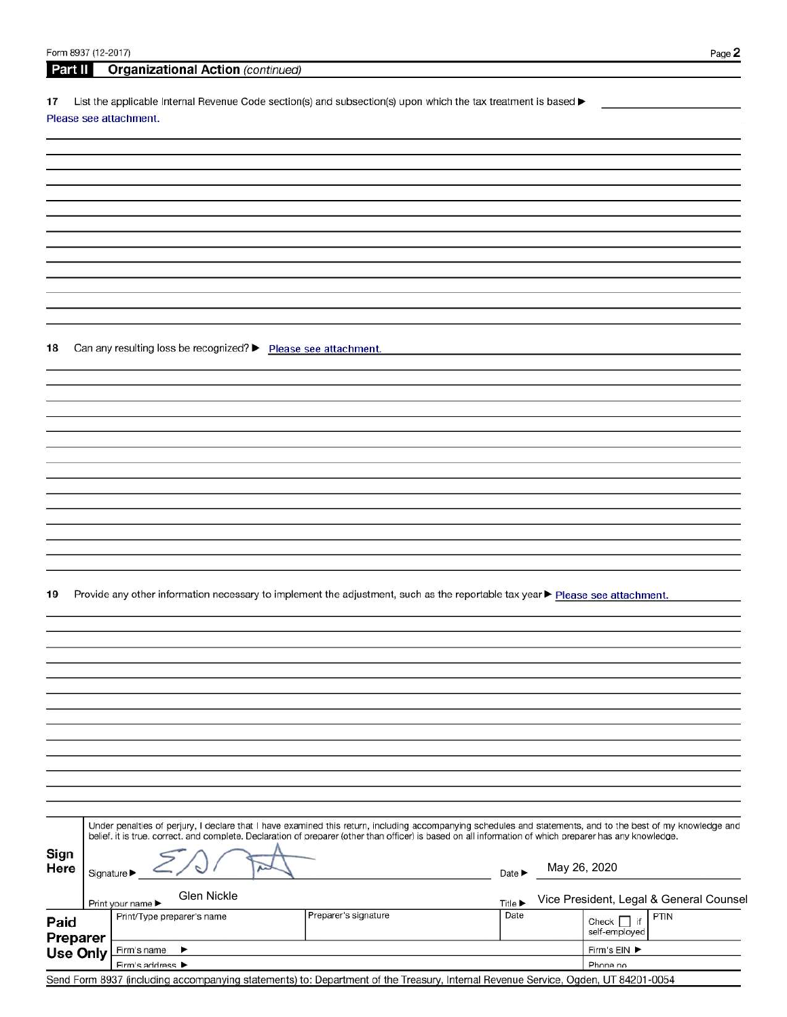| Form 8937 (12-2017) |           |                            |                                                                |                      |                                                                                                                                                                                                                                                                                                                          |                            |                 | Page 2                                  |
|---------------------|-----------|----------------------------|----------------------------------------------------------------|----------------------|--------------------------------------------------------------------------------------------------------------------------------------------------------------------------------------------------------------------------------------------------------------------------------------------------------------------------|----------------------------|-----------------|-----------------------------------------|
| Part II             |           |                            | <b>Organizational Action (continued)</b>                       |                      |                                                                                                                                                                                                                                                                                                                          |                            |                 |                                         |
|                     |           |                            |                                                                |                      |                                                                                                                                                                                                                                                                                                                          |                            |                 |                                         |
| 17                  |           | Please see attachment.     |                                                                |                      | List the applicable Internal Revenue Code section(s) and subsection(s) upon which the tax treatment is based >                                                                                                                                                                                                           |                            |                 |                                         |
|                     |           |                            |                                                                |                      |                                                                                                                                                                                                                                                                                                                          |                            |                 |                                         |
|                     |           |                            |                                                                |                      |                                                                                                                                                                                                                                                                                                                          |                            |                 |                                         |
|                     |           |                            |                                                                |                      |                                                                                                                                                                                                                                                                                                                          |                            |                 |                                         |
|                     |           |                            |                                                                |                      |                                                                                                                                                                                                                                                                                                                          |                            |                 |                                         |
|                     |           |                            |                                                                |                      |                                                                                                                                                                                                                                                                                                                          |                            |                 |                                         |
|                     |           |                            |                                                                |                      |                                                                                                                                                                                                                                                                                                                          |                            |                 |                                         |
|                     |           |                            |                                                                |                      |                                                                                                                                                                                                                                                                                                                          |                            |                 |                                         |
|                     |           |                            |                                                                |                      |                                                                                                                                                                                                                                                                                                                          |                            |                 |                                         |
|                     |           |                            |                                                                |                      |                                                                                                                                                                                                                                                                                                                          |                            |                 |                                         |
|                     |           |                            |                                                                |                      |                                                                                                                                                                                                                                                                                                                          |                            |                 |                                         |
|                     |           |                            |                                                                |                      |                                                                                                                                                                                                                                                                                                                          |                            |                 |                                         |
|                     |           |                            |                                                                |                      |                                                                                                                                                                                                                                                                                                                          |                            |                 |                                         |
| 18                  |           |                            | Can any resulting loss be recognized? > Please see attachment. |                      |                                                                                                                                                                                                                                                                                                                          |                            |                 |                                         |
|                     |           |                            |                                                                |                      |                                                                                                                                                                                                                                                                                                                          |                            |                 |                                         |
|                     |           |                            |                                                                |                      |                                                                                                                                                                                                                                                                                                                          |                            |                 |                                         |
|                     |           |                            |                                                                |                      |                                                                                                                                                                                                                                                                                                                          |                            |                 |                                         |
|                     |           |                            |                                                                |                      |                                                                                                                                                                                                                                                                                                                          |                            |                 |                                         |
|                     |           |                            |                                                                |                      |                                                                                                                                                                                                                                                                                                                          |                            |                 |                                         |
|                     |           |                            |                                                                |                      |                                                                                                                                                                                                                                                                                                                          |                            |                 |                                         |
|                     |           |                            |                                                                |                      |                                                                                                                                                                                                                                                                                                                          |                            |                 |                                         |
|                     |           |                            |                                                                |                      |                                                                                                                                                                                                                                                                                                                          |                            |                 |                                         |
|                     |           |                            |                                                                |                      |                                                                                                                                                                                                                                                                                                                          |                            |                 |                                         |
|                     |           |                            |                                                                |                      |                                                                                                                                                                                                                                                                                                                          |                            |                 |                                         |
|                     |           |                            |                                                                |                      |                                                                                                                                                                                                                                                                                                                          |                            |                 |                                         |
|                     |           |                            |                                                                |                      |                                                                                                                                                                                                                                                                                                                          |                            |                 |                                         |
| 19                  |           |                            |                                                                |                      | Provide any other information necessary to implement the adjustment, such as the reportable tax year Pelease see attachment.                                                                                                                                                                                             |                            |                 |                                         |
|                     |           |                            |                                                                |                      |                                                                                                                                                                                                                                                                                                                          |                            |                 |                                         |
|                     |           |                            |                                                                |                      |                                                                                                                                                                                                                                                                                                                          |                            |                 |                                         |
|                     |           |                            |                                                                |                      |                                                                                                                                                                                                                                                                                                                          |                            |                 |                                         |
|                     |           |                            |                                                                |                      |                                                                                                                                                                                                                                                                                                                          |                            |                 |                                         |
|                     |           |                            |                                                                |                      |                                                                                                                                                                                                                                                                                                                          |                            |                 |                                         |
|                     |           |                            |                                                                |                      |                                                                                                                                                                                                                                                                                                                          |                            |                 |                                         |
|                     |           |                            |                                                                |                      |                                                                                                                                                                                                                                                                                                                          |                            |                 |                                         |
|                     |           |                            |                                                                |                      |                                                                                                                                                                                                                                                                                                                          |                            |                 |                                         |
|                     |           |                            |                                                                |                      |                                                                                                                                                                                                                                                                                                                          |                            |                 |                                         |
|                     |           |                            |                                                                |                      |                                                                                                                                                                                                                                                                                                                          |                            |                 |                                         |
|                     |           |                            |                                                                |                      |                                                                                                                                                                                                                                                                                                                          |                            |                 |                                         |
|                     |           |                            |                                                                |                      |                                                                                                                                                                                                                                                                                                                          |                            |                 |                                         |
|                     |           |                            |                                                                |                      | Under penalties of perjury, I declare that I have examined this return, including accompanying schedules and statements, and to the best of my knowledge and<br>belief, it is true, correct, and complete. Declaration of preparer (other than officer) is based on all information of which preparer has any knowledge. |                            |                 |                                         |
| Sign                |           |                            |                                                                |                      |                                                                                                                                                                                                                                                                                                                          |                            |                 |                                         |
| Here                | Signature |                            |                                                                |                      |                                                                                                                                                                                                                                                                                                                          | Date $\blacktriangleright$ | May 26, 2020    |                                         |
|                     |           |                            |                                                                |                      |                                                                                                                                                                                                                                                                                                                          |                            |                 |                                         |
|                     |           | Print your name            | Glen Nickle                                                    |                      |                                                                                                                                                                                                                                                                                                                          | <b>Title ▶</b>             |                 | Vice President, Legal & General Counsel |
| Paid                |           | Print/Type preparer's name |                                                                | Preparer's signature |                                                                                                                                                                                                                                                                                                                          | Date                       | Check $\Box$ if | PTIN                                    |
| Preparer            |           |                            |                                                                |                      |                                                                                                                                                                                                                                                                                                                          |                            | self-employed   |                                         |
| <b>Use Only</b>     |           | Firm's name                | ▸                                                              |                      |                                                                                                                                                                                                                                                                                                                          |                            | Firm's EIN      |                                         |
|                     |           | Firm's address >           |                                                                |                      |                                                                                                                                                                                                                                                                                                                          |                            | Phone no.       |                                         |

| Firm's address P                                                                                                                  | <b>Priorie</b> |
|-----------------------------------------------------------------------------------------------------------------------------------|----------------|
| Send Form 8937 (including accompanying statements) to: Department of the Treasury, Internal Revenue Service, Ogden, UT 84201-0054 |                |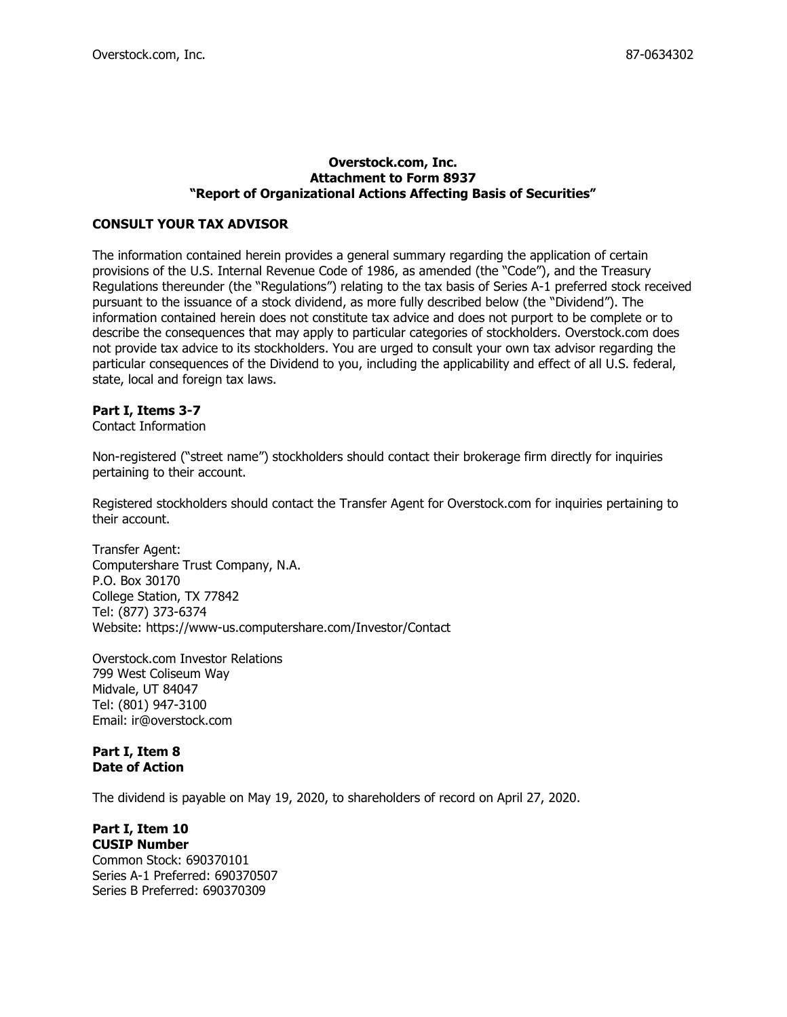### Overstock.com, Inc. Attachment to Form 8937 "Report of Organizational Actions Affecting Basis of Securities"

## CONSULT YOUR TAX ADVISOR

The information contained herein provides a general summary regarding the application of certain provisions of the U.S. Internal Revenue Code of 1986, as amended (the "Code"), and the Treasury Regulations thereunder (the "Regulations") relating to the tax basis of Series A-1 preferred stock received pursuant to the issuance of a stock dividend, as more fully described below (the "Dividend"). The information contained herein does not constitute tax advice and does not purport to be complete or to describe the consequences that may apply to particular categories of stockholders. Overstock.com does not provide tax advice to its stockholders. You are urged to consult your own tax advisor regarding the particular consequences of the Dividend to you, including the applicability and effect of all U.S. federal, state, local and foreign tax laws.

## Part I, Items 3-7

Contact Information

Non-registered ("street name") stockholders should contact their brokerage firm directly for inquiries pertaining to their account.

Registered stockholders should contact the Transfer Agent for Overstock.com for inquiries pertaining to their account.

Transfer Agent: Computershare Trust Company, N.A. P.O. Box 30170 College Station, TX 77842 Tel: (877) 373-6374 Website: https://www-us.computershare.com/Investor/Contact

Overstock.com Investor Relations 799 West Coliseum Way Midvale, UT 84047 Tel: (801) 947-3100 Email: ir@overstock.com

## Part I, Item 8 Date of Action

The dividend is payable on May 19, 2020, to shareholders of record on April 27, 2020.

# Part I, Item 10

CUSIP Number Common Stock: 690370101 Series A-1 Preferred: 690370507 Series B Preferred: 690370309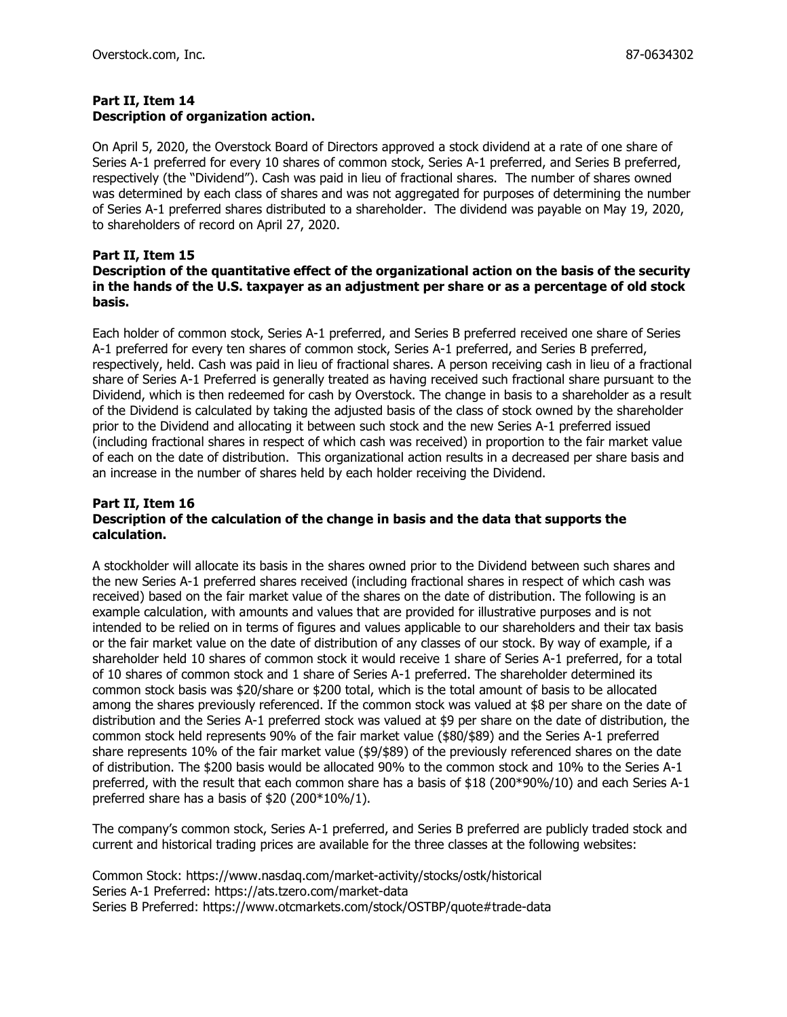## Part II, Item 14 Description of organization action.

On April 5, 2020, the Overstock Board of Directors approved a stock dividend at a rate of one share of Series A-1 preferred for every 10 shares of common stock, Series A-1 preferred, and Series B preferred, respectively (the "Dividend"). Cash was paid in lieu of fractional shares. The number of shares owned was determined by each class of shares and was not aggregated for purposes of determining the number of Series A-1 preferred shares distributed to a shareholder. The dividend was payable on May 19, 2020, to shareholders of record on April 27, 2020.

## Part II, Item 15

## Description of the quantitative effect of the organizational action on the basis of the security in the hands of the U.S. taxpayer as an adjustment per share or as a percentage of old stock basis.

Each holder of common stock, Series A-1 preferred, and Series B preferred received one share of Series A-1 preferred for every ten shares of common stock, Series A-1 preferred, and Series B preferred, respectively, held. Cash was paid in lieu of fractional shares. A person receiving cash in lieu of a fractional share of Series A-1 Preferred is generally treated as having received such fractional share pursuant to the Dividend, which is then redeemed for cash by Overstock. The change in basis to a shareholder as a result of the Dividend is calculated by taking the adjusted basis of the class of stock owned by the shareholder prior to the Dividend and allocating it between such stock and the new Series A-1 preferred issued (including fractional shares in respect of which cash was received) in proportion to the fair market value of each on the date of distribution. This organizational action results in a decreased per share basis and an increase in the number of shares held by each holder receiving the Dividend.

## Part II, Item 16 Description of the calculation of the change in basis and the data that supports the calculation.

A stockholder will allocate its basis in the shares owned prior to the Dividend between such shares and the new Series A-1 preferred shares received (including fractional shares in respect of which cash was received) based on the fair market value of the shares on the date of distribution. The following is an example calculation, with amounts and values that are provided for illustrative purposes and is not intended to be relied on in terms of figures and values applicable to our shareholders and their tax basis or the fair market value on the date of distribution of any classes of our stock. By way of example, if a shareholder held 10 shares of common stock it would receive 1 share of Series A-1 preferred, for a total of 10 shares of common stock and 1 share of Series A-1 preferred. The shareholder determined its common stock basis was \$20/share or \$200 total, which is the total amount of basis to be allocated among the shares previously referenced. If the common stock was valued at \$8 per share on the date of distribution and the Series A-1 preferred stock was valued at \$9 per share on the date of distribution, the common stock held represents 90% of the fair market value (\$80/\$89) and the Series A-1 preferred share represents 10% of the fair market value (\$9/\$89) of the previously referenced shares on the date of distribution. The \$200 basis would be allocated 90% to the common stock and 10% to the Series A-1 preferred, with the result that each common share has a basis of \$18 (200\*90%/10) and each Series A-1 preferred share has a basis of \$20 (200\*10%/1).

The company's common stock, Series A-1 preferred, and Series B preferred are publicly traded stock and current and historical trading prices are available for the three classes at the following websites:

Common Stock: https://www.nasdaq.com/market-activity/stocks/ostk/historical Series A-1 Preferred: https://ats.tzero.com/market-data Series B Preferred: https://www.otcmarkets.com/stock/OSTBP/quote#trade-data